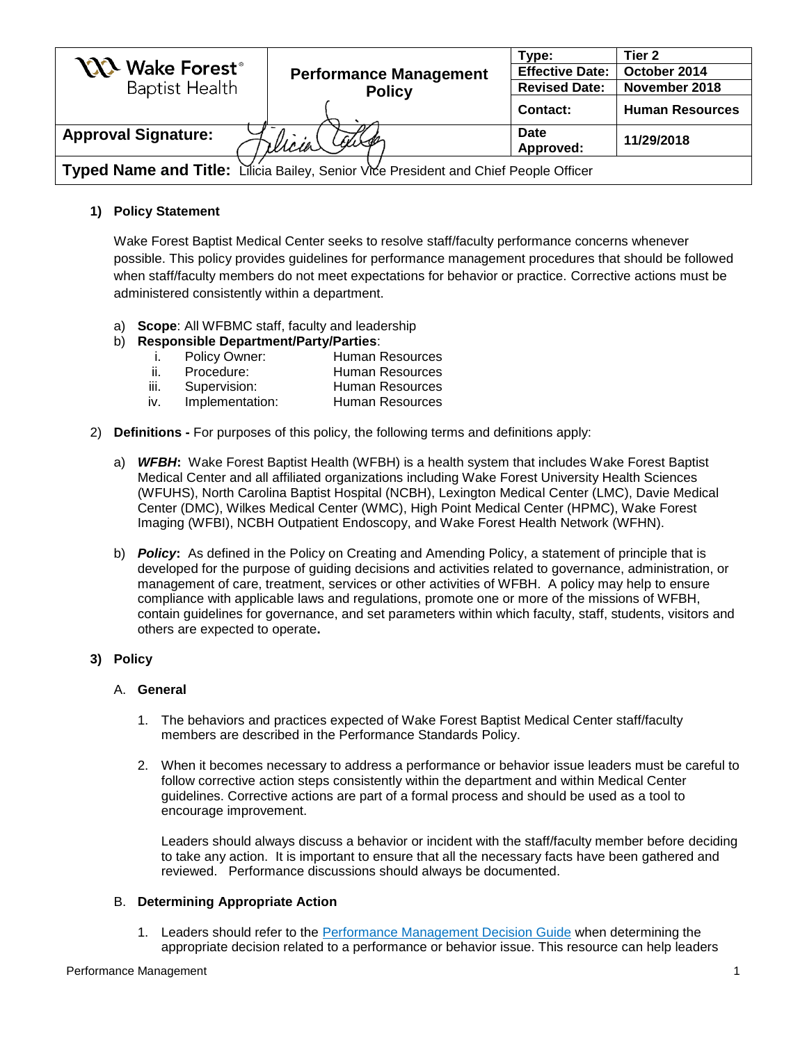|                                                                                      |                               | Type:                    | Tier 2                 |
|--------------------------------------------------------------------------------------|-------------------------------|--------------------------|------------------------|
| <b>YXX</b> Wake Forest <sup>®</sup>                                                  | <b>Performance Management</b> | <b>Effective Date:</b>   | October 2014           |
| <b>Baptist Health</b>                                                                | <b>Policy</b>                 | <b>Revised Date:</b>     | November 2018          |
|                                                                                      |                               | Contact:                 | <b>Human Resources</b> |
| <b>Approval Signature:</b>                                                           | Micia Caro                    | <b>Date</b><br>Approved: | 11/29/2018             |
| Typed Name and Title: Lilicia Bailey, Senior Vice President and Chief People Officer |                               |                          |                        |

# **1) Policy Statement**

Wake Forest Baptist Medical Center seeks to resolve staff/faculty performance concerns whenever possible. This policy provides guidelines for performance management procedures that should be followed when staff/faculty members do not meet expectations for behavior or practice. Corrective actions must be administered consistently within a department.

- a) **Scope**: All WFBMC staff, faculty and leadership
- b) **Responsible Department/Party/Parties**:
	- i. Policy Owner: Human Resources
	- ii. Procedure: Human Resources
	- iii. Supervision: Human Resources
	- iv. Implementation: Human Resources
- 2) **Definitions -** For purposes of this policy, the following terms and definitions apply:
	- a) *WFBH***:** Wake Forest Baptist Health (WFBH) is a health system that includes Wake Forest Baptist Medical Center and all affiliated organizations including Wake Forest University Health Sciences (WFUHS), North Carolina Baptist Hospital (NCBH), Lexington Medical Center (LMC), Davie Medical Center (DMC), Wilkes Medical Center (WMC), High Point Medical Center (HPMC), Wake Forest Imaging (WFBI), NCBH Outpatient Endoscopy, and Wake Forest Health Network (WFHN).
	- b) *Policy***:** As defined in the Policy on Creating and Amending Policy, a statement of principle that is developed for the purpose of guiding decisions and activities related to governance, administration, or management of care, treatment, services or other activities of WFBH. A policy may help to ensure compliance with applicable laws and regulations, promote one or more of the missions of WFBH, contain guidelines for governance, and set parameters within which faculty, staff, students, visitors and others are expected to operate**.**

## **3) Policy**

## A. **General**

- 1. The behaviors and practices expected of Wake Forest Baptist Medical Center staff/faculty members are described in the Performance Standards Policy.
- 2. When it becomes necessary to address a performance or behavior issue leaders must be careful to follow corrective action steps consistently within the department and within Medical Center guidelines. Corrective actions are part of a formal process and should be used as a tool to encourage improvement.

Leaders should always discuss a behavior or incident with the staff/faculty member before deciding to take any action. It is important to ensure that all the necessary facts have been gathered and reviewed. Performance discussions should always be documented.

## B. **Determining Appropriate Action**

1. Leaders should refer to the [Performance Management Decision Guide](http://intranet.wakehealth.edu/Departments/Human-Resources/Forms/Performance-Management-Decision-Guide.htm) when determining the appropriate decision related to a performance or behavior issue. This resource can help leaders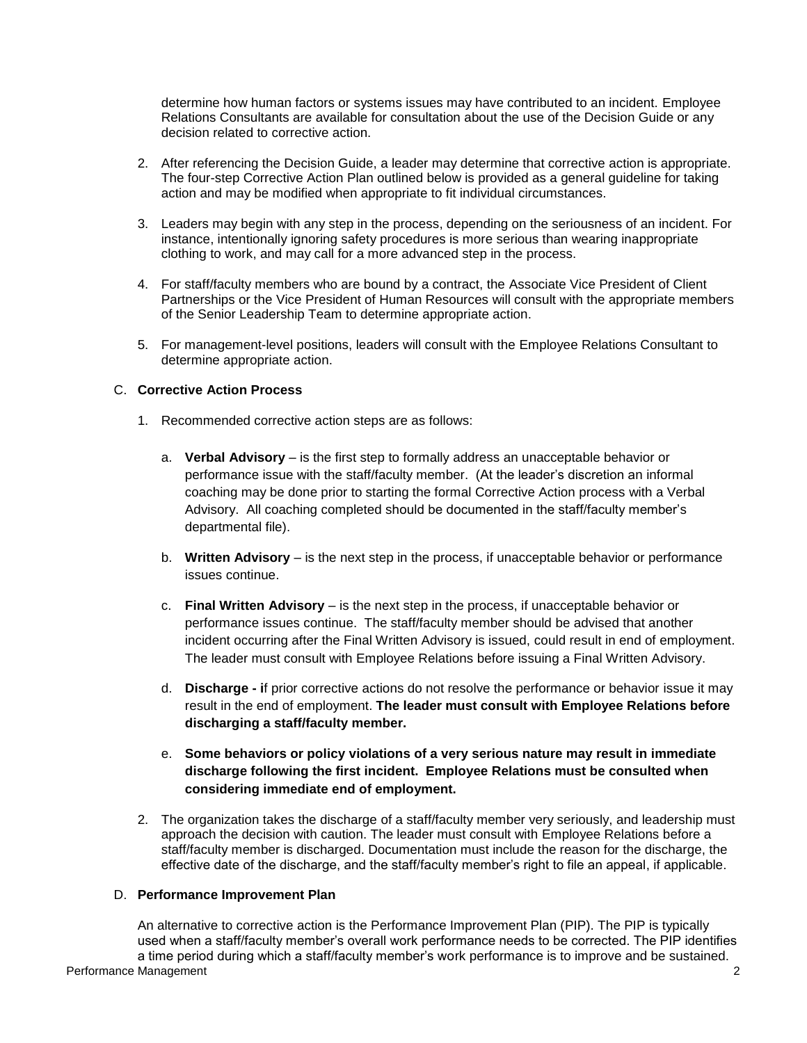determine how human factors or systems issues may have contributed to an incident. Employee Relations Consultants are available for consultation about the use of the Decision Guide or any decision related to corrective action.

- 2. After referencing the Decision Guide, a leader may determine that corrective action is appropriate. The four-step Corrective Action Plan outlined below is provided as a general guideline for taking action and may be modified when appropriate to fit individual circumstances.
- 3. Leaders may begin with any step in the process, depending on the seriousness of an incident. For instance, intentionally ignoring safety procedures is more serious than wearing inappropriate clothing to work, and may call for a more advanced step in the process.
- 4. For staff/faculty members who are bound by a contract, the Associate Vice President of Client Partnerships or the Vice President of Human Resources will consult with the appropriate members of the Senior Leadership Team to determine appropriate action.
- 5. For management-level positions, leaders will consult with the Employee Relations Consultant to determine appropriate action.

## C. **Corrective Action Process**

- 1. Recommended corrective action steps are as follows:
	- a. **Verbal Advisory** is the first step to formally address an unacceptable behavior or performance issue with the staff/faculty member. (At the leader's discretion an informal coaching may be done prior to starting the formal Corrective Action process with a Verbal Advisory. All coaching completed should be documented in the staff/faculty member's departmental file).
	- b. **Written Advisory** is the next step in the process, if unacceptable behavior or performance issues continue.
	- c. **Final Written Advisory** is the next step in the process, if unacceptable behavior or performance issues continue. The staff/faculty member should be advised that another incident occurring after the Final Written Advisory is issued, could result in end of employment. The leader must consult with Employee Relations before issuing a Final Written Advisory.
	- d. **Discharge - i**f prior corrective actions do not resolve the performance or behavior issue it may result in the end of employment. **The leader must consult with Employee Relations before discharging a staff/faculty member.**
	- e. **Some [behaviors](http://intranet.wakehealth.edu/Departments/Human-Resources/Policies/Performance-Standards-Policy/Discharge-for-First-Incident.htm) or policy violations of a very serious nature may result in immediate discharge following the first incident. Employee Relations must be consulted when considering immediate end of employment.**
- 2. The organization takes the discharge of a staff/faculty member very seriously, and leadership must approach the decision with caution. The leader must consult with Employee Relations before a staff/faculty member is discharged. Documentation must include the reason for the discharge, the effective date of the discharge, and the staff/faculty member's right to file an appeal, if applicable.

## D. **Performance Improvement Plan**

**Performance Management** 2 An alternative to corrective action is the Performance Improvement Plan (PIP). The PIP is typically used when a staff/faculty member's overall work performance needs to be corrected. The PIP identifies a time period during which a staff/faculty member's work performance is to improve and be sustained.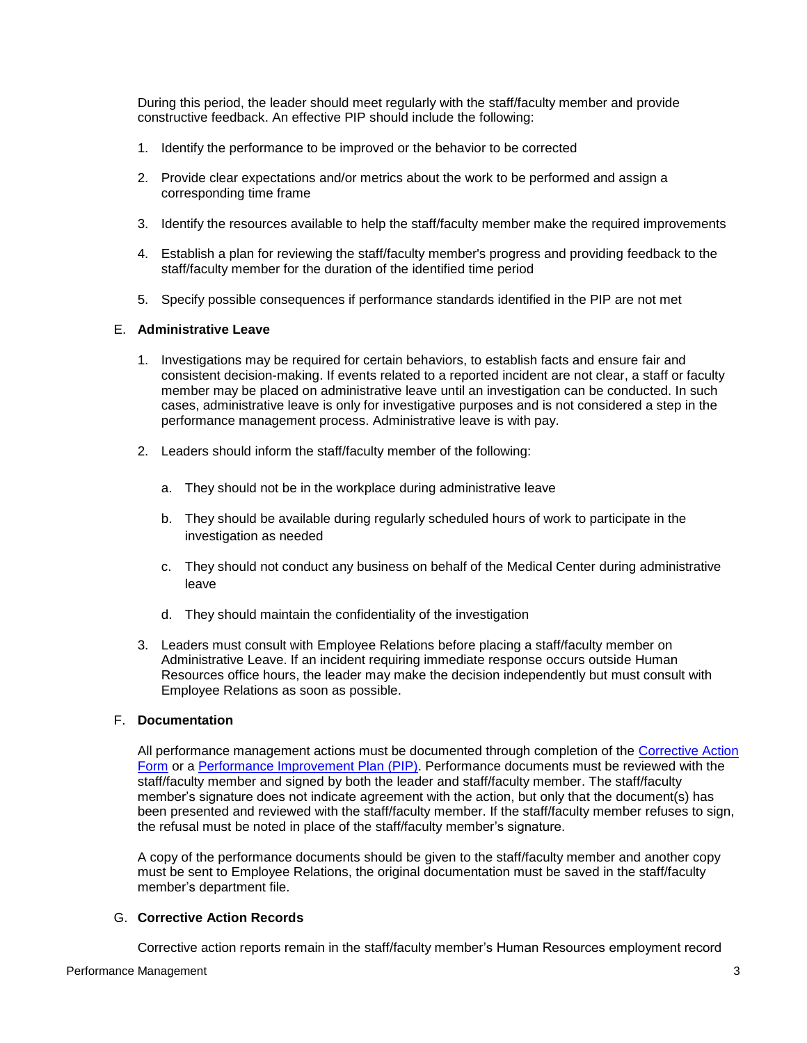During this period, the leader should meet regularly with the staff/faculty member and provide constructive feedback. An effective PIP should include the following:

- 1. Identify the performance to be improved or the behavior to be corrected
- 2. Provide clear expectations and/or metrics about the work to be performed and assign a corresponding time frame
- 3. Identify the resources available to help the staff/faculty member make the required improvements
- 4. Establish a plan for reviewing the staff/faculty member's progress and providing feedback to the staff/faculty member for the duration of the identified time period
- 5. Specify possible consequences if performance standards identified in the PIP are not met

### E. **Administrative Leave**

- 1. Investigations may be required for certain behaviors, to establish facts and ensure fair and consistent decision-making. If events related to a reported incident are not clear, a staff or faculty member may be placed on administrative leave until an investigation can be conducted. In such cases, administrative leave is only for investigative purposes and is not considered a step in the performance management process. Administrative leave is with pay.
- 2. Leaders should inform the staff/faculty member of the following:
	- a. They should not be in the workplace during administrative leave
	- b. They should be available during regularly scheduled hours of work to participate in the investigation as needed
	- c. They should not conduct any business on behalf of the Medical Center during administrative leave
	- d. They should maintain the confidentiality of the investigation
- 3. Leaders must consult with Employee Relations before placing a staff/faculty member on Administrative Leave. If an incident requiring immediate response occurs outside Human Resources office hours, the leader may make the decision independently but must consult with Employee Relations as soon as possible.

### F. **Documentation**

All performance management actions must be documented through completion of the [Corrective Action](http://intranet.wakehealth.edu/Departments/Human-Resources/Forms/Corrective-Action--100914.htm)  [Form](http://intranet.wakehealth.edu/Departments/Human-Resources/Forms/Corrective-Action--100914.htm) or a [Performance Improvement Plan \(PIP\).](http://intranet.wakehealth.edu/Departments/Human-Resources/Forms/PIP-Template-100914.htm) Performance documents must be reviewed with the staff/faculty member and signed by both the leader and staff/faculty member. The staff/faculty member's signature does not indicate agreement with the action, but only that the document(s) has been presented and reviewed with the staff/faculty member. If the staff/faculty member refuses to sign, the refusal must be noted in place of the staff/faculty member's signature.

A copy of the performance documents should be given to the staff/faculty member and another copy must be sent to Employee Relations, the original documentation must be saved in the staff/faculty member's department file.

#### G. **Corrective Action Records**

Corrective action reports remain in the staff/faculty member's Human Resources employment record